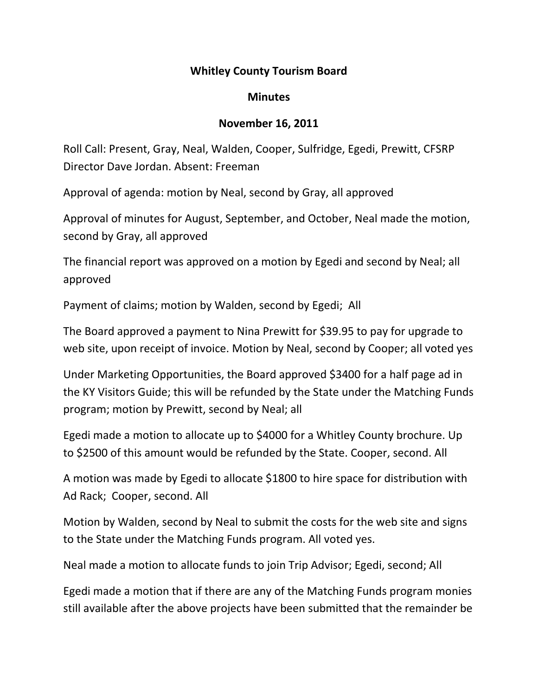## Whitley County Tourism Board

## **Minutes**

## November 16, 2011

Roll Call: Present, Gray, Neal, Walden, Cooper, Sulfridge, Egedi, Prewitt, CFSRP Director Dave Jordan. Absent: Freeman

Approval of agenda: motion by Neal, second by Gray, all approved

Approval of minutes for August, September, and October, Neal made the motion, second by Gray, all approved

The financial report was approved on a motion by Egedi and second by Neal; all approved

Payment of claims; motion by Walden, second by Egedi; All

The Board approved a payment to Nina Prewitt for \$39.95 to pay for upgrade to web site, upon receipt of invoice. Motion by Neal, second by Cooper; all voted yes

Under Marketing Opportunities, the Board approved \$3400 for a half page ad in the KY Visitors Guide; this will be refunded by the State under the Matching Funds program; motion by Prewitt, second by Neal; all

Egedi made a motion to allocate up to \$4000 for a Whitley County brochure. Up to \$2500 of this amount would be refunded by the State. Cooper, second. All

A motion was made by Egedi to allocate \$1800 to hire space for distribution with Ad Rack; Cooper, second. All

Motion by Walden, second by Neal to submit the costs for the web site and signs to the State under the Matching Funds program. All voted yes.

Neal made a motion to allocate funds to join Trip Advisor; Egedi, second; All

Egedi made a motion that if there are any of the Matching Funds program monies still available after the above projects have been submitted that the remainder be